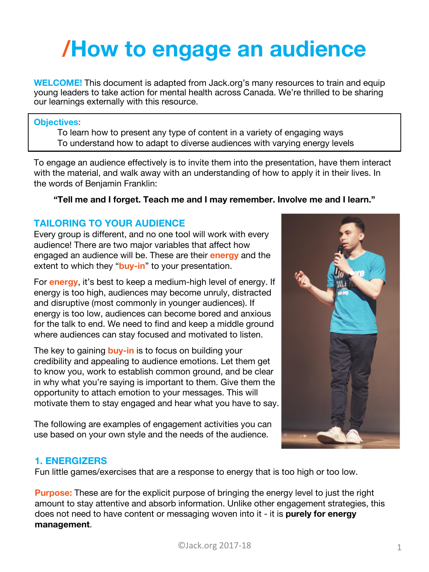# **/How to engage an audience**

**WELCOME!** This document is adapted from Jack.org's many resources to train and equip young leaders to take action for mental health across Canada. We're thrilled to be sharing our learnings externally with this resource.

#### **Objectives:**

To learn how to present any type of content in a variety of engaging ways To understand how to adapt to diverse audiences with varying energy levels

To engage an audience effectively is to invite them into the presentation, have them interact with the material, and walk away with an understanding of how to apply it in their lives. In the words of Benjamin Franklin:

#### **"Tell me and I forget. Teach me and I may remember. Involve me and I learn."**

# **TAILORING TO YOUR AUDIENCE**

Every group is different, and no one tool will work with every audience! There are two major variables that affect how engaged an audience will be. These are their **energy** and the extent to which they "**buy-in**" to your presentation.

For **energy**, it's best to keep a medium-high level of energy. If energy is too high, audiences may become unruly, distracted and disruptive (most commonly in younger audiences). If energy is too low, audiences can become bored and anxious for the talk to end. We need to find and keep a middle ground where audiences can stay focused and motivated to listen.

The key to gaining **buy-in** is to focus on building your credibility and appealing to audience emotions. Let them get to know you, work to establish common ground, and be clear in why what you're saying is important to them. Give them the opportunity to attach emotion to your messages. This will motivate them to stay engaged and hear what you have to say.

The following are examples of engagement activities you can use based on your own style and the needs of the audience.



#### **1. ENERGIZERS**

Fun little games/exercises that are a response to energy that is too high or too low.

**Purpose:** These are for the explicit purpose of bringing the energy level to just the right amount to stay attentive and absorb information. Unlike other engagement strategies, this does not need to have content or messaging woven into it - it is **purely for energy management**.